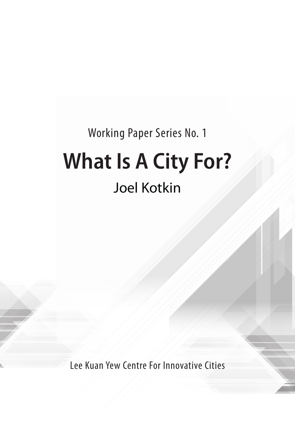### Working Paper Series No. 1

# **What Is A City For?** Joel Kotkin

Lee Kuan Yew Centre For Innovative Cities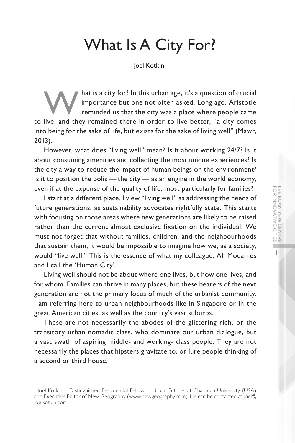## What Is A City For?

loel Kotkin<sup>1</sup>

hat is a city for? In this urban age, it's a question of crucial importance but one not often asked. Long ago, Aristotle reminded us that the city was a place where people came to live, and they remained there in order to live better, "a city comes into being for the sake of life, but exists for the sake of living well" (Mawr, 2013).

However, what does "living well" mean? Is it about working 24/7? Is it about consuming amenities and collecting the most unique experiences? Is the city a way to reduce the impact of human beings on the environment? Is it to position the polis  $-$  the city  $-$  as an engine in the world economy, even if at the expense of the quality of life, most particularly for families?

I start at a different place. I view "living well" as addressing the needs of future generations, as sustainability advocates rightfully state. This starts with focusing on those areas where new generations are likely to be raised rather than the current almost exclusive fixation on the individual. We must not forget that without families, children, and the neighbourhoods that sustain them, it would be impossible to imagine how we, as a society, would "live well." This is the essence of what my colleague, Ali Modarres and I call the 'Human City'.

Living well should not be about where one lives, but how one lives, and for whom. Families can thrive in many places, but these bearers of the next generation are not the primary focus of much of the urbanist community. I am referring here to urban neighbourhoods like in Singapore or in the great American cities, as well as the country's vast suburbs.

These are not necessarily the abodes of the glittering rich, or the transitory urban nomadic class, who dominate our urban dialogue, but a vast swath of aspiring middle- and working- class people. They are not necessarily the places that hipsters gravitate to, or lure people thinking of a second or third house.

<sup>1</sup> Joel Kotkin is Distinguished Presidential Fellow in Urban Futures at Chapman University (USA) and Executive Editor of New Geography (www.newgeography.com). He can be contacted at joel@ joelkotkin.com.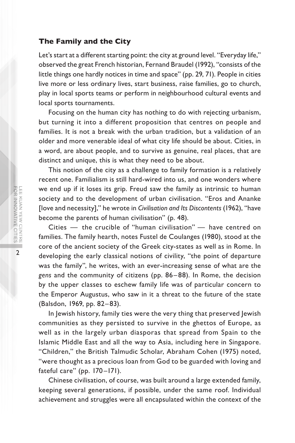#### **The Family and the City**

Let's start at a different starting point: the city at ground level. "Everyday life," observed the great French historian, Fernand Braudel (1992), "consists of the little things one hardly notices in time and space" (pp. 29, 71). People in cities live more or less ordinary lives, start business, raise families, go to church, play in local sports teams or perform in neighbourhood cultural events and local sports tournaments.

Focusing on the human city has nothing to do with rejecting urbanism, but turning it into a different proposition that centres on people and families. It is not a break with the urban tradition, but a validation of an older and more venerable ideal of what city life should be about. Cities, in a word, are about people, and to survive as genuine, real places, that are distinct and unique, this is what they need to be about.

This notion of the city as a challenge to family formation is a relatively recent one. Familialism is still hard-wired into us, and one wonders where we end up if it loses its grip. Freud saw the family as intrinsic to human society and to the development of urban civilisation. "Eros and Ananke [love and necessity]," he wrote in *Civilisation and Its Discontents* (1962), "have become the parents of human civilisation" (p. 48).

Cities — the crucible of "human civilisation" — have centred on families. The family hearth, notes Fustel de Coulanges (1980), stood at the core of the ancient society of the Greek city-states as well as in Rome. In developing the early classical notions of civility, "the point of departure was the family", he writes, with an ever-increasing sense of what are the *gens* and the community of citizens (pp. 86–88). In Rome, the decision by the upper classes to eschew family life was of particular concern to the Emperor Augustus, who saw in it a threat to the future of the state (Balsdon, 1969, pp. 82–83).

In Jewish history, family ties were the very thing that preserved Jewish communities as they persisted to survive in the ghettos of Europe, as well as in the largely urban diasporas that spread from Spain to the Islamic Middle East and all the way to Asia, including here in Singapore. "Children," the British Talmudic Scholar, Abraham Cohen (1975) noted, "were thought as a precious loan from God to be guarded with loving and fateful care" (pp. 170-171).

Chinese civilisation, of course, was built around a large extended family, keeping several generations, if possible, under the same roof. Individual achievement and struggles were all encapsulated within the context of the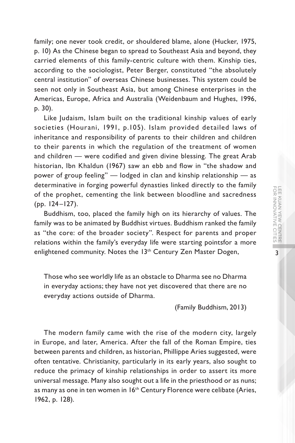family; one never took credit, or shouldered blame, alone (Hucker, 1975, p. 10) As the Chinese began to spread to Southeast Asia and beyond, they carried elements of this family-centric culture with them. Kinship ties, according to the sociologist, Peter Berger, constituted "the absolutely central institution" of overseas Chinese businesses. This system could be seen not only in Southeast Asia, but among Chinese enterprises in the Americas, Europe, Africa and Australia (Weidenbaum and Hughes, 1996, p. 30).

Like Judaism, Islam built on the traditional kinship values of early societies (Hourani, 1991, p.105). Islam provided detailed laws of inheritance and responsibility of parents to their children and children to their parents in which the regulation of the treatment of women and children — were codified and given divine blessing. The great Arab historian, Ibn Khaldun (1967) saw an ebb and flow in "the shadow and power of group feeling" — lodged in clan and kinship relationship — as determinative in forging powerful dynasties linked directly to the family of the prophet, cementing the link between bloodline and sacredness (pp. 124–127).

Buddhism, too, placed the family high on its hierarchy of values. The family was to be animated by Buddhist virtues. Buddhism ranked the family as "the core: of the broader society". Respect for parents and proper relations within the family's everyday life were starting pointsfor a more enlightened community. Notes the 13<sup>th</sup> Century Zen Master Dogen,

Those who see worldly life as an obstacle to Dharma see no Dharma in everyday actions; they have not yet discovered that there are no everyday actions outside of Dharma.

(Family Buddhism, 2013)

The modern family came with the rise of the modern city, largely in Europe, and later, America. After the fall of the Roman Empire, ties between parents and children, as historian, Phillippe Aries suggested, were often tentative. Christianity, particularly in its early years, also sought to reduce the primacy of kinship relationships in order to assert its more universal message. Many also sought out a life in the priesthood or as nuns; as many as one in ten women in 16<sup>th</sup> Century Florence were celibate (Aries, 1962, p. 128).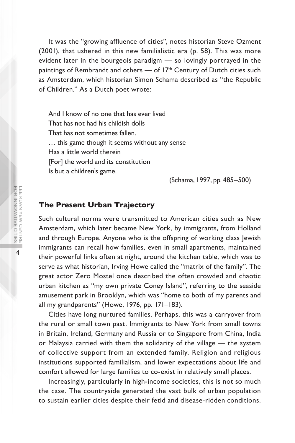It was the "growing affluence of cities", notes historian Steve Ozment (2001), that ushered in this new familialistic era (p. 58). This was more evident later in the bourgeois paradigm — so lovingly portrayed in the paintings of Rembrandt and others — of 17<sup>th</sup> Century of Dutch cities such as Amsterdam, which historian Simon Schama described as "the Republic of Children." As a Dutch poet wrote:

And I know of no one that has ever lived That has not had his childish dolls That has not sometimes fallen. … this game though it seems without any sense Has a little world therein [For] the world and its constitution Is but a children's game.

(Schama, 1997, pp. 485–500)

#### **The Present Urban Trajectory**

Such cultural norms were transmitted to American cities such as New Amsterdam, which later became New York, by immigrants, from Holland and through Europe. Anyone who is the offspring of working class Jewish immigrants can recall how families, even in small apartments, maintained their powerful links often at night, around the kitchen table, which was to serve as what historian, Irving Howe called the "matrix of the family". The great actor Zero Mostel once described the often crowded and chaotic urban kitchen as "my own private Coney Island", referring to the seaside amusement park in Brooklyn, which was "home to both of my parents and all my grandparents" (Howe, 1976, pp. 171–183).

Cities have long nurtured families. Perhaps, this was a carryover from the rural or small town past. Immigrants to New York from small towns in Britain, Ireland, Germany and Russia or to Singapore from China, India or Malaysia carried with them the solidarity of the village — the system of collective support from an extended family. Religion and religious institutions supported familialism, and lower expectations about life and comfort allowed for large families to co-exist in relatively small places.

Increasingly, particularly in high-income societies, this is not so much the case. The countryside generated the vast bulk of urban population to sustain earlier cities despite their fetid and disease-ridden conditions.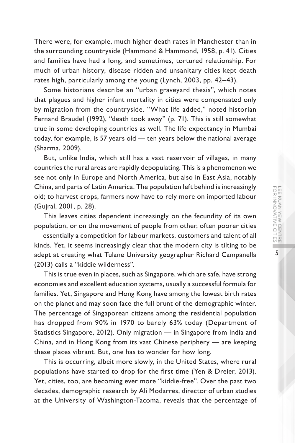5

There were, for example, much higher death rates in Manchester than in the surrounding countryside (Hammond & Hammond, 1958, p. 41). Cities and families have had a long, and sometimes, tortured relationship. For much of urban history, disease ridden and unsanitary cities kept death rates high, particularly among the young (Lynch, 2003, pp. 42–43).

Some historians describe an "urban graveyard thesis", which notes that plagues and higher infant mortality in cities were compensated only by migration from the countryside. "What life added," noted historian Fernand Braudel (1992), "death took away" (p. 71). This is still somewhat true in some developing countries as well. The life expectancy in Mumbai today, for example, is 57 years old — ten years below the national average (Sharma, 2009).

But, unlike India, which still has a vast reservoir of villages, in many countries the rural areas are rapidly depopulating. This is a phenomenon we see not only in Europe and North America, but also in East Asia, notably China, and parts of Latin America. The population left behind is increasingly old; to harvest crops, farmers now have to rely more on imported labour (Gujral, 2001, p. 28).

This leaves cities dependent increasingly on the fecundity of its own population, or on the movement of people from other, often poorer cities — essentially a competition for labour markets, customers and talent of all kinds. Yet, it seems increasingly clear that the modern city is tilting to be adept at creating what Tulane University geographer Richard Campanella (2013) calls a "kiddie wilderness".

This is true even in places, such as Singapore, which are safe, have strong economies and excellent education systems, usually a successful formula for families. Yet, Singapore and Hong Kong have among the lowest birth rates on the planet and may soon face the full brunt of the demographic winter. The percentage of Singaporean citizens among the residential population has dropped from 90% in 1970 to barely 63% today (Department of Statistics Singapore, 2012). Only migration — in Singapore from India and China, and in Hong Kong from its vast Chinese periphery — are keeping these places vibrant. But, one has to wonder for how long.

This is occurring, albeit more slowly, in the United States, where rural populations have started to drop for the first time (Yen & Dreier, 2013). Yet, cities, too, are becoming ever more "kiddie-free". Over the past two decades, demographic research by Ali Modarres, director of urban studies at the University of Washington-Tacoma, reveals that the percentage of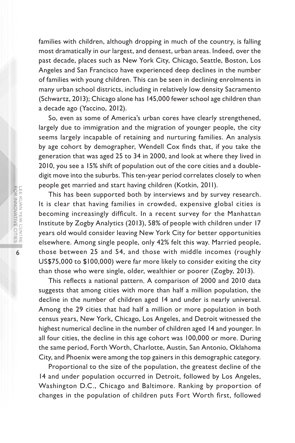families with children, although dropping in much of the country, is falling most dramatically in our largest, and densest, urban areas. Indeed, over the past decade, places such as New York City, Chicago, Seattle, Boston, Los Angeles and San Francisco have experienced deep declines in the number of families with young children. This can be seen in declining enrolments in many urban school districts, including in relatively low density Sacramento (Schwartz, 2013); Chicago alone has 145,000 fewer school age children than a decade ago (Yaccino, 2012).

So, even as some of America's urban cores have clearly strengthened, largely due to immigration and the migration of younger people, the city seems largely incapable of retaining and nurturing families. An analysis by age cohort by demographer, Wendell Cox finds that, if you take the generation that was aged 25 to 34 in 2000, and look at where they lived in 2010, you see a 15% shift of population out of the core cities and a doubledigit move into the suburbs. This ten-year period correlates closely to when people get married and start having children (Kotkin, 2011).

This has been supported both by interviews and by survey research. It is clear that having families in crowded, expensive global cities is becoming increasingly difficult. In a recent survey for the Manhattan Institute by Zogby Analytics (2013), 58% of people with children under 17 years old would consider leaving New York City for better opportunities elsewhere. Among single people, only 42% felt this way. Married people, those between 25 and 54, and those with middle incomes (roughly US\$75,000 to \$100,000) were far more likely to consider exiting the city than those who were single, older, wealthier or poorer (Zogby, 2013).

This reflects a national pattern. A comparison of 2000 and 2010 data suggests that among cities with more than half a million population, the decline in the number of children aged 14 and under is nearly universal. Among the 29 cities that had half a million or more population in both census years, New York, Chicago, Los Angeles, and Detroit witnessed the highest numerical decline in the number of children aged 14 and younger. In all four cities, the decline in this age cohort was 100,000 or more. During the same period, Forth Worth, Charlotte, Austin, San Antonio, Oklahoma City, and Phoenix were among the top gainers in this demographic category.

Proportional to the size of the population, the greatest decline of the 14 and under population occurred in Detroit, followed by Los Angeles, Washington D.C., Chicago and Baltimore. Ranking by proportion of changes in the population of children puts Fort Worth first, followed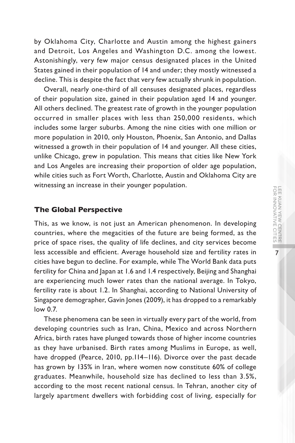by Oklahoma City, Charlotte and Austin among the highest gainers and Detroit, Los Angeles and Washington D.C. among the lowest. Astonishingly, very few major census designated places in the United States gained in their population of 14 and under; they mostly witnessed a decline. This is despite the fact that very few actually shrunk in population.

Overall, nearly one-third of all censuses designated places, regardless of their population size, gained in their population aged 14 and younger. All others declined. The greatest rate of growth in the younger population occurred in smaller places with less than 250,000 residents, which includes some larger suburbs. Among the nine cities with one million or more population in 2010, only Houston, Phoenix, San Antonio, and Dallas witnessed a growth in their population of 14 and younger. All these cities, unlike Chicago, grew in population. This means that cities like New York and Los Angeles are increasing their proportion of older age population, while cities such as Fort Worth, Charlotte, Austin and Oklahoma City are witnessing an increase in their younger population.

#### **The Global Perspective**

This, as we know, is not just an American phenomenon. In developing countries, where the megacities of the future are being formed, as the price of space rises, the quality of life declines, and city services become less accessible and efficient. Average household size and fertility rates in cities have begun to decline. For example, while The World Bank data puts fertility for China and Japan at 1.6 and 1.4 respectively, Beijing and Shanghai are experiencing much lower rates than the national average. In Tokyo, fertility rate is about 1.2. In Shanghai, according to National University of Singapore demographer, Gavin Jones (2009), it has dropped to a remarkably low 0.7.

These phenomena can be seen in virtually every part of the world, from developing countries such as Iran, China, Mexico and across Northern Africa, birth rates have plunged towards those of higher income countries as they have urbanised. Birth rates among Muslims in Europe, as well, have dropped (Pearce, 2010, pp.114–116). Divorce over the past decade has grown by 135% in Iran, where women now constitute 60% of college graduates. Meanwhile, household size has declined to less than 3.5%, according to the most recent national census. In Tehran, another city of largely apartment dwellers with forbidding cost of living, especially for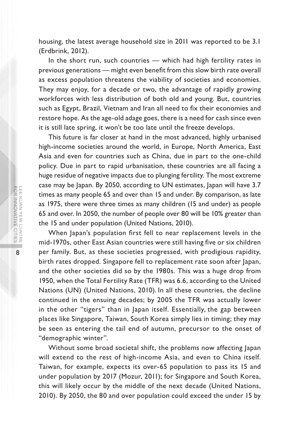housing, the latest average household size in 2011 was reported to be 3.1 (Erdbrink, 2012).

In the short run, such countries — which had high fertility rates in previous generations — might even benefit from this slow birth rate overall as excess population threatens the viability of societies and economies. They may enjoy, for a decade or two, the advantage of rapidly growing workforces with less distribution of both old and young. But, countries such as Egypt, Brazil, Vietnam and Iran all need to fix their economies and restore hope. As the age-old adage goes, there is a need for cash since even it is still late spring, it won't be too late until the freeze develops.

This future is far closer at hand in the most advanced, highly urbanised high-income societies around the world, in Europe, North America, East Asia and even for countries such as China, due in part to the one-child policy. Due in part to rapid urbanisation, these countries are all facing a huge residue of negative impacts due to plunging fertility. The most extreme case may be Japan. By 2050, according to UN estimates, Japan will have 3.7 times as many people 65 and over than 15 and under. By comparison, as late as 1975, there were three times as many children (15 and under) as people 65 and over. In 2050, the number of people over 80 will be 10% greater than the 15 and under population (United Nations, 2010).

When Japan's population first fell to near replacement levels in the mid-1970s, other East Asian countries were still having five or six children per family. But, as these societies progressed, with prodigious rapidity, birth rates dropped. Singapore fell to replacement rate soon after Japan, and the other societies did so by the 1980s. This was a huge drop from 1950, when the Total Fertility Rate (TFR) was 6.6, according to the United Nations (UN) (United Nations, 2010). In all these countries, the decline continued in the ensuing decades; by 2005 the TFR was actually lower in the other "tigers" than in Japan itself. Essentially, the gap between places like Singapore, Taiwan, South Korea simply lies in timing; they may be seen as entering the tail end of autumn, precursor to the onset of "demographic winter".

Without some broad societal shift, the problems now affecting Japan will extend to the rest of high-income Asia, and even to China itself. Taiwan, for example, expects its over-65 population to pass its 15 and under population by 2017 (Mozur, 2011); for Singapore and South Korea, this will likely occur by the middle of the next decade (United Nations, 2010). By 2050, the 80 and over population could exceed the under 15 by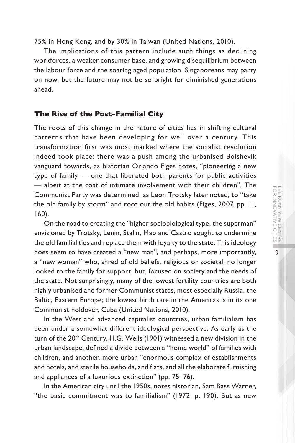75% in Hong Kong, and by 30% in Taiwan (United Nations, 2010).

The implications of this pattern include such things as declining workforces, a weaker consumer base, and growing disequilibrium between the labour force and the soaring aged population. Singaporeans may party on now, but the future may not be so bright for diminished generations ahead.

#### **The Rise of the Post-Familial City**

The roots of this change in the nature of cities lies in shifting cultural patterns that have been developing for well over a century. This transformation first was most marked where the socialist revolution indeed took place: there was a push among the urbanised Bolshevik vanguard towards, as historian Orlando Figes notes, "pioneering a new type of family — one that liberated both parents for public activities — albeit at the cost of intimate involvement with their children". The Communist Party was determined, as Leon Trotsky later noted, to "take the old family by storm" and root out the old habits (Figes, 2007, pp. 11, 160).

On the road to creating the "higher sociobiological type, the superman" envisioned by Trotsky, Lenin, Stalin, Mao and Castro sought to undermine the old familial ties and replace them with loyalty to the state. This ideology does seem to have created a "new man", and perhaps, more importantly, a "new woman" who, shred of old beliefs, religious or societal, no longer looked to the family for support, but, focused on society and the needs of the state. Not surprisingly, many of the lowest fertility countries are both highly urbanised and former Communist states, most especially Russia, the Baltic, Eastern Europe; the lowest birth rate in the Americas is in its one Communist holdover, Cuba (United Nations, 2010).

In the West and advanced capitalist countries, urban familialism has been under a somewhat different ideological perspective. As early as the turn of the 20<sup>th</sup> Century, H.G. Wells (1901) witnessed a new division in the urban landscape, defined a divide between a "home world" of families with children, and another, more urban "enormous complex of establishments and hotels, and sterile households, and flats, and all the elaborate furnishing and appliances of a luxurious extinction" (pp. 75–76).

In the American city until the 1950s, notes historian, Sam Bass Warner, "the basic commitment was to familialism" (1972, p. 190). But as new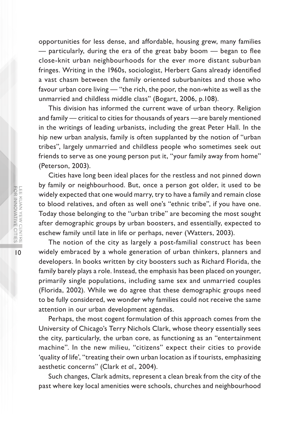opportunities for less dense, and affordable, housing grew, many families — particularly, during the era of the great baby boom — began to flee close-knit urban neighbourhoods for the ever more distant suburban fringes. Writing in the 1960s, sociologist, Herbert Gans already identified a vast chasm between the family oriented suburbanites and those who favour urban core living — "the rich, the poor, the non-white as well as the unmarried and childless middle class" (Bogart, 2006, p.108).

This division has informed the current wave of urban theory. Religion and family — critical to cities for thousands of years —are barely mentioned in the writings of leading urbanists, including the great Peter Hall. In the hip new urban analysis, family is often supplanted by the notion of "urban tribes", largely unmarried and childless people who sometimes seek out friends to serve as one young person put it, "your family away from home" (Peterson, 2003).

Cities have long been ideal places for the restless and not pinned down by family or neighbourhood. But, once a person got older, it used to be widely expected that one would marry, try to have a family and remain close to blood relatives, and often as well one's "ethnic tribe", if you have one. Today those belonging to the "urban tribe" are becoming the most sought after demographic groups by urban boosters, and essentially, expected to eschew family until late in life or perhaps, never (Watters, 2003).

The notion of the city as largely a post-familial construct has been widely embraced by a whole generation of urban thinkers, planners and developers. In books written by city boosters such as Richard Florida, the family barely plays a role. Instead, the emphasis has been placed on younger, primarily single populations, including same sex and unmarried couples (Florida, 2002). While we do agree that these demographic groups need to be fully considered, we wonder why families could not receive the same attention in our urban development agendas.

Perhaps, the most cogent formulation of this approach comes from the University of Chicago's Terry Nichols Clark, whose theory essentially sees the city, particularly, the urban core, as functioning as an "entertainment machine". In the new milieu, "citizens" expect their cities to provide 'quality of life', "treating their own urban location as if tourists, emphasizing aesthetic concerns" (Clark *et al.*, 2004).

Such changes, Clark admits, represent a clean break from the city of the past where key local amenities were schools, churches and neighbourhood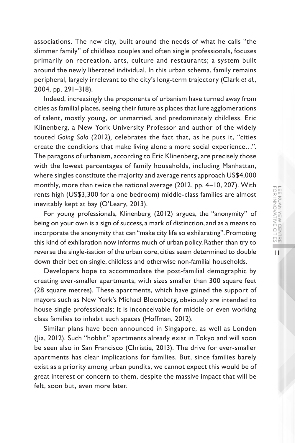associations. The new city, built around the needs of what he calls "the slimmer family" of childless couples and often single professionals, focuses primarily on recreation, arts, culture and restaurants; a system built around the newly liberated individual. In this urban schema, family remains peripheral, largely irrelevant to the city's long-term trajectory (Clark *et al.*, 2004, pp. 291–318).

Indeed, increasingly the proponents of urbanism have turned away from cities as familial places, seeing their future as places that lure agglomerations of talent, mostly young, or unmarried, and predominately childless. Eric Klinenberg, a New York University Professor and author of the widely touted *Going Solo* (2012)*,* celebrates the fact that, as he puts it, "cities create the conditions that make living alone a more social experience…". The paragons of urbanism, according to Eric Klinenberg, are precisely those with the lowest percentages of family households, including Manhattan, where singles constitute the majority and average rents approach US\$4,000 monthly, more than twice the national average (2012, pp. 4–10, 207). With rents high (US\$3,300 for a one bedroom) middle-class families are almost inevitably kept at bay (O'Leary, 2013).

For young professionals, Klinenberg (2012) argues, the "anonymity" of being on your own is a sign of success, a mark of distinction, and as a means to incorporate the anonymity that can "make city life so exhilarating". Promoting this kind of exhilaration now informs much of urban policy. Rather than try to reverse the single-isation of the urban core, cities seem determined to double down their bet on single, childless and otherwise non-familial households.

Developers hope to accommodate the post-familial demographic by creating ever-smaller apartments, with sizes smaller than 300 square feet (28 square metres). These apartments, which have gained the support of mayors such as New York's Michael Bloomberg, obviously are intended to house single professionals; it is inconceivable for middle or even working class families to inhabit such spaces (Hoffman, 2012).

Similar plans have been announced in Singapore, as well as London (Jia, 2012). Such "hobbit" apartments already exist in Tokyo and will soon be seen also in San Francisco (Christie, 2013). The drive for ever-smaller apartments has clear implications for families. But, since families barely exist as a priority among urban pundits, we cannot expect this would be of great interest or concern to them, despite the massive impact that will be felt, soon but, even more later.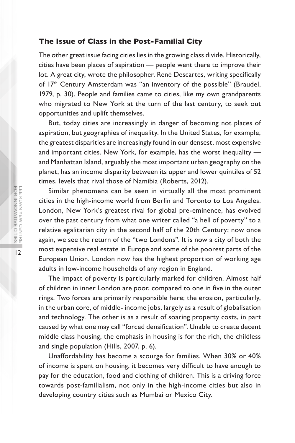#### **The Issue of Class in the Post-Familial City**

The other great issue facing cities lies in the growing class divide. Historically, cities have been places of aspiration — people went there to improve their lot. A great city, wrote the philosopher, René Descartes, writing specifically of 17<sup>th</sup> Century Amsterdam was "an inventory of the possible" (Braudel, 1979, p. 30). People and families came to cities, like my own grandparents who migrated to New York at the turn of the last century, to seek out opportunities and uplift themselves.

But, today cities are increasingly in danger of becoming not places of aspiration, but geographies of inequality. In the United States, for example, the greatest disparities are increasingly found in our densest, most expensive and important cities. New York, for example, has the worst inequality and Manhattan Island, arguably the most important urban geography on the planet, has an income disparity between its upper and lower quintiles of 52 times, levels that rival those of Namibia (Roberts, 2012).

Similar phenomena can be seen in virtually all the most prominent cities in the high-income world from Berlin and Toronto to Los Angeles. London, New York's greatest rival for global pre-eminence, has evolved over the past century from what one writer called "a hell of poverty" to a relative egalitarian city in the second half of the 20th Century; now once again, we see the return of the "two Londons". It is now a city of both the most expensive real estate in Europe and some of the poorest parts of the European Union. London now has the highest proportion of working age adults in low-income households of any region in England.

The impact of poverty is particularly marked for children. Almost half of children in inner London are poor, compared to one in five in the outer rings. Two forces are primarily responsible here; the erosion, particularly, in the urban core, of middle- income jobs, largely as a result of globalisation and technology. The other is as a result of soaring property costs, in part caused by what one may call "forced densification". Unable to create decent middle class housing, the emphasis in housing is for the rich, the childless and single population (Hills, 2007, p. 6).

Unaffordability has become a scourge for families. When 30% or 40% of income is spent on housing, it becomes very difficult to have enough to pay for the education, food and clothing of children. This is a driving force towards post-familialism, not only in the high-income cities but also in developing country cities such as Mumbai or Mexico City.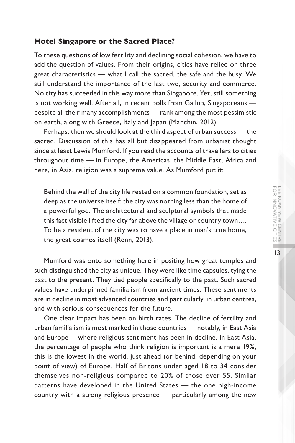13

#### **Hotel Singapore or the Sacred Place?**

To these questions of low fertility and declining social cohesion, we have to add the question of values. From their origins, cities have relied on three great characteristics — what I call the sacred, the safe and the busy. We still understand the importance of the last two, security and commerce. No city has succeeded in this way more than Singapore. Yet, still something is not working well. After all, in recent polls from Gallup, Singaporeans despite all their many accomplishments — rank among the most pessimistic on earth, along with Greece, Italy and Japan (Manchin, 2012).

Perhaps, then we should look at the third aspect of urban success — the sacred. Discussion of this has all but disappeared from urbanist thought since at least Lewis Mumford. If you read the accounts of travellers to cities throughout time — in Europe, the Americas, the Middle East, Africa and here, in Asia, religion was a supreme value. As Mumford put it:

Behind the wall of the city life rested on a common foundation, set as deep as the universe itself: the city was nothing less than the home of a powerful god. The architectural and sculptural symbols that made this fact visible lifted the city far above the village or country town…. To be a resident of the city was to have a place in man's true home, the great cosmos itself (Renn, 2013).

Mumford was onto something here in positing how great temples and such distinguished the city as unique. They were like time capsules, tying the past to the present. They tied people specifically to the past. Such sacred values have underpinned familialism from ancient times. These sentiments are in decline in most advanced countries and particularly, in urban centres, and with serious consequences for the future.

One clear impact has been on birth rates. The decline of fertility and urban familialism is most marked in those countries — notably, in East Asia and Europe —where religious sentiment has been in decline. In East Asia, the percentage of people who think religion is important is a mere 19%, this is the lowest in the world, just ahead (or behind, depending on your point of view) of Europe. Half of Britons under aged 18 to 34 consider themselves non-religious compared to 20% of those over 55. Similar patterns have developed in the United States — the one high-income country with a strong religious presence — particularly among the new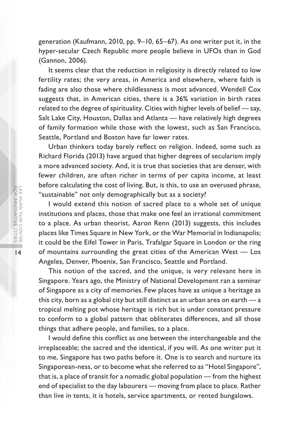generation (Kaufmann, 2010, pp. 9–10, 65–67). As one writer put it, in the hyper-secular Czech Republic more people believe in UFOs than in God (Gannon, 2006).

It seems clear that the reduction in religiosity is directly related to low fertility rates; the very areas, in America and elsewhere, where faith is fading are also those where childlessness is most advanced. Wendell Cox suggests that, in American cities, there is a 36% variation in birth rates related to the degree of spirituality. Cities with higher levels of belief — say, Salt Lake City, Houston, Dallas and Atlanta — have relatively high degrees of family formation while those with the lowest, such as San Francisco, Seattle, Portland and Boston have far lower rates.

Urban thinkers today barely reflect on religion. Indeed, some such as Richard Florida (2013) have argued that higher degrees of secularism imply a more advanced society. And, it is true that societies that are denser, with fewer children, are often richer in terms of per capita income, at least before calculating the cost of living. But, is this, to use an overused phrase, "sustainable" not only demographically but as a society?

I would extend this notion of sacred place to a whole set of unique institutions and places, those that make one feel an irrational commitment to a place. As urban theorist, Aaron Renn (2013) suggests, this includes places like Times Square in New York, or the War Memorial in Indianapolis; it could be the Eifel Tower in Paris, Trafalgar Square in London or the ring of mountains surrounding the great cities of the American West — Los Angeles, Denver, Phoenix, San Francisco, Seattle and Portland.

This notion of the sacred, and the unique, is very relevant here in Singapore. Years ago, the Ministry of National Development ran a seminar of Singapore as a city of memories. Few places have as unique a heritage as this city, born as a global city but still distinct as an urban area on earth — a tropical melting pot whose heritage is rich but is under constant pressure to conform to a global pattern that obliterates differences, and all those things that adhere people, and families, to a place.

I would define this conflict as one between the interchangeable and the irreplaceable; the sacred and the identical, if you will. As one writer put it to me, Singapore has two paths before it. One is to search and nurture its Singaporean-ness, or to become what she referred to as "Hotel Singapore", that is, a place of transit for a nomadic global population — from the highest end of specialist to the day labourers — moving from place to place. Rather than live in tents, it is hotels, service apartments, or rented bungalows.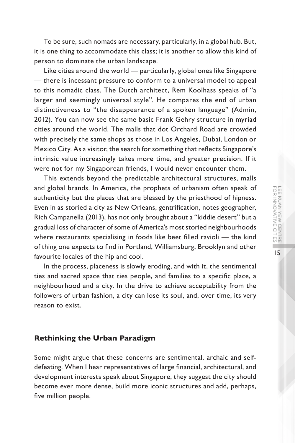To be sure, such nomads are necessary, particularly, in a global hub. But, it is one thing to accommodate this class; it is another to allow this kind of person to dominate the urban landscape.

Like cities around the world — particularly, global ones like Singapore — there is incessant pressure to conform to a universal model to appeal to this nomadic class. The Dutch architect, Rem Koolhass speaks of "a larger and seemingly universal style". He compares the end of urban distinctiveness to "the disappearance of a spoken language" (Admin, 2012). You can now see the same basic Frank Gehry structure in myriad cities around the world. The malls that dot Orchard Road are crowded with precisely the same shops as those in Los Angeles, Dubai, London or Mexico City. As a visitor, the search for something that reflects Singapore's intrinsic value increasingly takes more time, and greater precision. If it were not for my Singaporean friends, I would never encounter them.

This extends beyond the predictable architectural structures, malls and global brands. In America, the prophets of urbanism often speak of authenticity but the places that are blessed by the priesthood of hipness. Even in as storied a city as New Orleans, gentrification, notes geographer, Rich Campanella (2013), has not only brought about a "kiddie desert" but a gradual loss of character of some of America's most storied neighbourhoods where restaurants specialising in foods like beet filled ravioli — the kind of thing one expects to find in Portland, Williamsburg, Brooklyn and other favourite locales of the hip and cool.

In the process, placeness is slowly eroding, and with it, the sentimental ties and sacred space that ties people, and families to a specific place, a neighbourhood and a city. In the drive to achieve acceptability from the followers of urban fashion, a city can lose its soul, and, over time, its very reason to exist.

#### **Rethinking the Urban Paradigm**

Some might argue that these concerns are sentimental, archaic and selfdefeating. When I hear representatives of large financial, architectural, and development interests speak about Singapore, they suggest the city should become ever more dense, build more iconic structures and add, perhaps, five million people.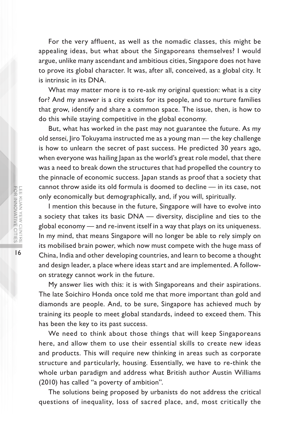For the very affluent, as well as the nomadic classes, this might be appealing ideas, but what about the Singaporeans themselves? I would argue, unlike many ascendant and ambitious cities, Singapore does not have to prove its global character. It was, after all, conceived, as a global city. It is intrinsic in its DNA.

What may matter more is to re-ask my original question: what is a city for? And my answer is a city exists for its people, and to nurture families that grow, identify and share a common space. The issue, then, is how to do this while staying competitive in the global economy.

But, what has worked in the past may not guarantee the future. As my old *sensei*, Jiro Tokuyama instructed me as a young man — the key challenge is how to unlearn the secret of past success. He predicted 30 years ago, when everyone was hailing Japan as the world's great role model, that there was a need to break down the structures that had propelled the country to the pinnacle of economic success. Japan stands as proof that a society that cannot throw aside its old formula is doomed to decline — in its case, not only economically but demographically, and, if you will, spiritually.

I mention this because in the future, Singapore will have to evolve into a society that takes its basic DNA — diversity, discipline and ties to the global economy — and re-invent itself in a way that plays on its uniqueness. In my mind, that means Singapore will no longer be able to rely simply on its mobilised brain power, which now must compete with the huge mass of China, India and other developing countries, and learn to become a thought and design leader, a place where ideas start and are implemented. A followon strategy cannot work in the future.

My answer lies with this: it is with Singaporeans and their aspirations. The late Soichiro Honda once told me that more important than gold and diamonds are people. And, to be sure, Singapore has achieved much by training its people to meet global standards, indeed to exceed them. This has been the key to its past success.

We need to think about those things that will keep Singaporeans here, and allow them to use their essential skills to create new ideas and products. This will require new thinking in areas such as corporate structure and particularly, housing. Essentially, we have to re-think the whole urban paradigm and address what British author Austin Williams (2010) has called "a poverty of ambition".

The solutions being proposed by urbanists do not address the critical questions of inequality, loss of sacred place, and, most critically the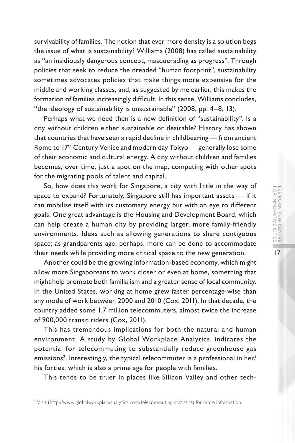survivability of families. The notion that ever more density is a solution begs the issue of what is sustainability? Williams (2008) has called sustainability as "an insidiously dangerous concept, masquerading as progress". Through policies that seek to reduce the dreaded "human footprint", sustainability sometimes advocates policies that make things more expensive for the middle and working classes, and, as suggested by me earlier, this makes the formation of families increasingly difficult. In this sense, Williams concludes, "the ideology of sustainability is unsustainable" (2008, pp. 4–8, 13).

Perhaps what we need then is a new definition of "sustainability". Is a city without children either sustainable or desirable? History has shown that countries that have seen a rapid decline in childbearing — from ancient Rome to 17<sup>th</sup> Century Venice and modern day Tokyo — generally lose some of their economic and cultural energy. A city without children and families becomes, over time, just a spot on the map, competing with other spots for the migrating pools of talent and capital.

So, how does this work for Singapore, a city with little in the way of space to expand? Fortunately, Singapore still has important assets — if it can mobilise itself with its customary energy but with an eye to different goals. One great advantage is the Housing and Development Board, which can help create a human city by providing larger, more family-friendly environments. Ideas such as allowing generations to share contiguous space; as grandparents age, perhaps, more can be done to accommodate their needs while providing more critical space to the new generation.

Another could be the growing information-based economy, which might allow more Singaporeans to work closer or even at home, something that might help promote both familialism and a greater sense of local community. In the United States, working at home grew faster percentage-wise than any mode of work between 2000 and 2010 (Cox, 2011). In that decade, the country added some 1.7 million telecommuters, almost twice the increase of 900,000 transit riders (Cox, 2011).

This has tremendous implications for both the natural and human environment. A study by Global Workplace Analytics, indicates the potential for telecommuting to substantially reduce greenhouse gas emissions<sup>2</sup>. Interestingly, the typical telecommuter is a professional in her/ his forties, which is also a prime age for people with families.

This tends to be truer in places like Silicon Valley and other tech-

<sup>2</sup> Visit (http://www.globalworkplaceanalytics.com/telecommuting-statistics) for more information.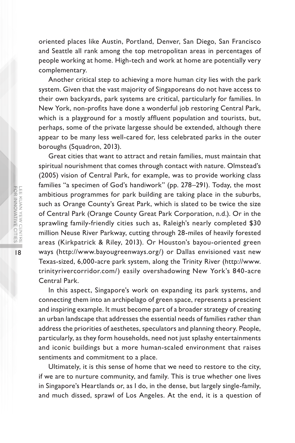oriented places like Austin, Portland, Denver, San Diego, San Francisco and Seattle all rank among the top metropolitan areas in percentages of people working at home. High-tech and work at home are potentially very complementary.

Another critical step to achieving a more human city lies with the park system. Given that the vast majority of Singaporeans do not have access to their own backyards, park systems are critical, particularly for families. In New York, non-profits have done a wonderful job restoring Central Park, which is a playground for a mostly affluent population and tourists, but, perhaps, some of the private largesse should be extended, although there appear to be many less well-cared for, less celebrated parks in the outer boroughs (Squadron, 2013).

Great cities that want to attract and retain families, must maintain that spiritual nourishment that comes through contact with nature. Olmstead's (2005) vision of Central Park, for example, was to provide working class families "a specimen of God's handiwork" (pp. 278–291). Today, the most ambitious programmes for park building are taking place in the suburbs, such as Orange County's Great Park, which is slated to be twice the size of Central Park (Orange County Great Park Corporation, n.d.). Or in the sprawling family-friendly cities such as, Raleigh's nearly completed \$30 million Neuse River Parkway, cutting through 28-miles of heavily forested areas (Kirkpatrick & Riley, 2013). Or Houston's bayou-oriented green ways (http://www.bayougreenways.org/) or Dallas envisioned vast new Texas-sized, 6,000-acre park system, along the Trinity River (http://www. trinityrivercorridor.com/) easily overshadowing New York's 840-acre Central Park.

In this aspect, Singapore's work on expanding its park systems, and connecting them into an archipelago of green space, represents a prescient and inspiring example. It must become part of a broader strategy of creating an urban landscape that addresses the essential needs of families rather than address the priorities of aesthetes, speculators and planning theory. People, particularly, as they form households, need not just splashy entertainments and iconic buildings but a more human-scaled environment that raises sentiments and commitment to a place.

Ultimately, it is this sense of home that we need to restore to the city, if we are to nurture community, and family. This is true whether one lives in Singapore's Heartlands or, as I do, in the dense, but largely single-family, and much dissed, sprawl of Los Angeles. At the end, it is a question of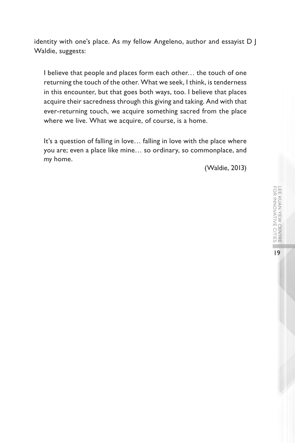identity with one's place. As my fellow Angeleno, author and essayist D J Waldie, suggests:

I believe that people and places form each other… the touch of one returning the touch of the other. What we seek, I think, is tenderness in this encounter, but that goes both ways, too. I believe that places acquire their sacredness through this giving and taking. And with that ever-returning touch, we acquire something sacred from the place where we live. What we acquire, of course, is a home.

It's a question of falling in love… falling in love with the place where you are; even a place like mine… so ordinary, so commonplace, and *my* home.

(Waldie, 2013)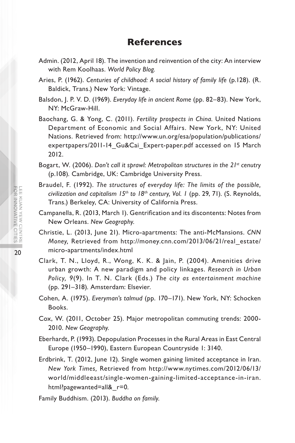#### **References**

- Admin. (2012, April 18). The invention and reinvention of the city: An interview with Rem Koolhaas. *World Policy Blog.*
- Aries, P. (1962). *Centuries of childhood: A social history of family life* (p.128). (R. Baldick, Trans.) New York: Vintage.
- Balsdon, J. P. V. D. (1969). *Everyday life in ancient Rome* (pp. 82–83). New York, NY: McGraw-Hill.
- Baochang, G. & Yong, C. (2011). *Fertility prospects in China.* United Nations Department of Economic and Social Affairs. New York, NY: United Nations. Retrieved from: http://www.un.org/esa/population/publications/ expertpapers/2011-14\_Gu&Cai\_Expert-paper.pdf accessed on 15 March 2012.
- Bogart, W. (2006). *Don't call it sprawl: Metropolitan structures in the 21st cenutry*  (p.108)*.* Cambridge, UK: Cambridge University Press.
- Braudel, F. (1992). *The structures of everyday life: The limits of the possible, civilization and capitalism 15th to 18th century, Vol. 1* (pp. 29, 71)*.* (S. Reynolds, Trans.) Berkeley, CA: University of California Press.
- Campanella, R. (2013, March 1). Gentrification and its discontents: Notes from New Orleans. *New Geography.*
- Christie, L. (2013, June 21). Micro-apartments: The anti-McMansions. *CNN Money,* Retrieved from http://money.cnn.com/2013/06/21/real\_estate/ micro-apartments/index.html
- Clark, T. N., Lloyd, R., Wong, K. K. & Jain, P. (2004). Amenities drive urban growth: A new paradigm and policy linkages. *Research in Urban Policy, 9*(9). In T. N. Clark (Eds.) *The city as entertainment machine*  (pp. 291–318)*.* Amsterdam: Elsevier.
- Cohen, A. (1975). *Everyman's talmud* (pp. 170–171). New York, NY: Schocken Books.
- Cox, W. (2011, October 25). Major metropolitan commuting trends: 2000- 2010. *New Geography.*
- Eberhardt, P. (1993). Depopulation Processes in the Rural Areas in East Central Europe (1950–1990), Eastern European Countryside 1: 3140.
- Erdbrink, T. (2012, June 12). Single women gaining limited acceptance in Iran. *New York Times,* Retrieved from http://www.nytimes.com/2012/06/13/ world/middleeast/single-women-gaining-limited-acceptance-in-iran. html?pagewanted=all&\_r=0*.*
- Family Buddhism. (2013). *Buddha on family.*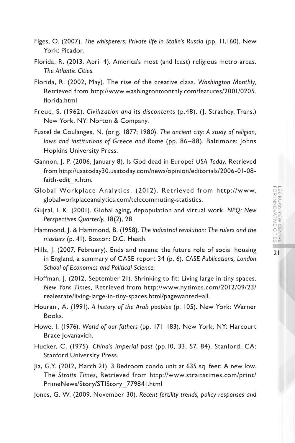- Figes, O. (2007). *The whisperers: Private life in Stalin's Russia* (pp. 11,160)*.* New York: Picador.
- Florida, R. (2013, April 4). America's most (and least) religious metro areas. *The Atlantic Cities.*
- Florida, R. (2002, May). The rise of the creative class. *Washington Monthly,*  Retrieved from http://www.washingtonmonthly.com/features/2001/0205. florida.html
- Freud, S. (1962). *Civilization and its discontents* (p.48). (J. Strachey, Trans.) New York, NY: Norton & Company.
- Fustel de Coulanges, N. (orig. 1877; 1980). *The ancient city: A study of religion, laws and institutions of Greece and Rome* (pp. 86–88). Baltimore: Johns Hopkins University Press.
- Gannon, J. P. (2006, January 8). Is God dead in Europe? *USA Today*, Retrieved from http://usatoday30.usatoday.com/news/opinion/editorials/2006-01-08 faith-edit\_x.htm*.*
- Global Workplace Analytics. (2012). Retrieved from http://www. globalworkplaceanalytics.com/telecommuting-statistics.
- Gujral, I. K. (2001). Global aging, depopulation and virtual work. *NPQ: New Perspectives Quarterly*, 18(2), 28.
- Hammond, J. & Hammond, B. (1958). *The industrial revolution: The rulers and the masters* (p. 41). Boston: D.C. Heath.
- Hills, J. (2007, February). Ends and means: the future role of social housing in England, a summary of CASE report 34 (p. 6). *CASE Publications, London School of Economics and Political Science.*
- Hoffman, J. (2012, September 21). Shrinking to fit: Living large in tiny spaces. *New York Times,* Retrieved from http://www.nytimes.com/2012/09/23/ realestate/living-large-in-tiny-spaces.html?pagewanted=all.
- Hourani, A. (1991). *A history of the Arab peoples* (p. 105). New York: Warner Books.
- Howe, I. (1976). *World of our fathers* (pp. 171–183)*.* New York, NY: Harcourt Brace Jovanavich.
- Hucker, C. (1975). *China's imperial past* (pp.10, 33, 57, 84). Stanford, CA: Stanford University Press.
- Jia, G.Y. (2012, March 21). 3 Bedroom condo unit at 635 sq. feet: A new low. The *Straits Times*, Retrieved from http://www.straitstimes.com/print/ PrimeNews/Story/STIStory\_779841.html
- Jones, G. W. (2009, November 30). *Recent fertility trends, policy responses and*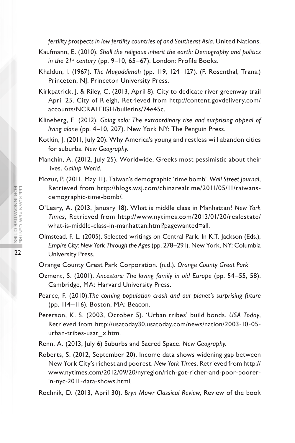*fertility prospects in low fertility countries of and Southeast Asia.* United Nations.

- Kaufmann, E. (2010). *Shall the religious inherit the earth: Demography and politics in the 21st century* (pp. 9–10, 65–67). London: Profile Books.
- Khaldun, I. (1967). *The Mugaddimah* (pp. 119, 124–127). (F. Rosenthal, Trans.) Princeton, NJ: Princeton University Press.
- Kirkpatrick, J. & Riley, C. (2013, April 8). City to dedicate river greenway trail April 25. City of Rleigh, Retrieved from http://content.govdelivery.com/ accounts/NCRALEIGH/bulletins/74e45c.
- Klineberg, E. (2012). *Going solo: The extraordinary rise and surprising appeal of living alone* (pp. 4–10, 207). New York NY: The Penguin Press.
- Kotkin, J. (2011, July 20). Why America's young and restless will abandon cities for suburbs. *New Geography.*
- Manchin, A. (2012, July 25). Worldwide, Greeks most pessimistic about their lives. *Gallup World.*
- Mozur, P. (2011, May 11). Taiwan's demographic 'time bomb'. *Wall Street Journal*, Retrieved from http://blogs.wsj.com/chinarealtime/2011/05/11/taiwansdemographic-time-bomb/.
- O'Leary, A. (2013, January 18). What is middle class in Manhattan? *New York Times,* Retrieved from http://www.nytimes.com/2013/01/20/realestate/ what-is-middle-class-in-manhattan.html?pagewanted=all*.*
- Olmstead, F. L. (2005). Selected writings on Central Park. In K.T. Jackson (Eds.), *Empire City: New York Through the Ages* (pp. 278–291). New York, NY: Columbia University Press.
- Orange County Great Park Corporation. (n.d.). *Orange County Great Park*
- Ozment, S. (2001). *Ancestors: The loving family in old Europe* (pp. 54–55, 58). Cambridge, MA: Harvard University Press.
- Pearce, F. (2010).*The coming population crash and our planet's surprising future*  (pp. 114–116). Boston, MA: Beacon.
- Peterson, K. S. (2003, October 5). 'Urban tribes' build bonds. *USA Today*, Retrieved from http://usatoday30.usatoday.com/news/nation/2003-10-05 urban-tribes-usat\_x.htm.
- Renn, A. (2013, July 6) Suburbs and Sacred Space. *New Geography.*
- Roberts, S. (2012, September 20). Income data shows widening gap between New York City's richest and poorest. *New York Times*, Retrieved from http:// www.nytimes.com/2012/09/20/nyregion/rich-got-richer-and-poor-poorerin-nyc-2011-data-shows.html*.*

Rochnik, D. (2013, April 30). *Bryn Mawr Classical Review*, Review of the book